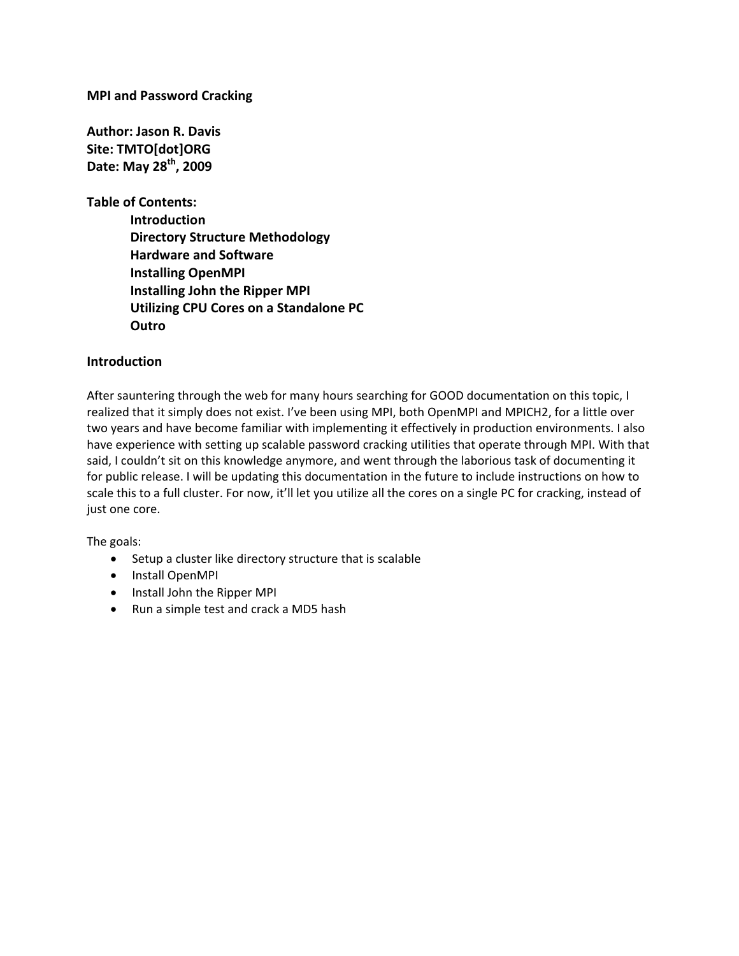**MPI and Password Cracking**

**Author: Jason R. Davis Site: TMTO[dot]ORG Date: May 28th, 2009**

**Table of Contents:**

**Introduction Directory Structure Methodology Hardware and Software Installing OpenMPI Installing John the Ripper MPI Utilizing CPU Cores on a Standalone PC Outro**

#### **Introduction**

After sauntering through the web for many hours searching for GOOD documentation on this topic, I realized that it simply does not exist. I've been using MPI, both OpenMPI and MPICH2, for a little over two years and have become familiar with implementing it effectively in production environments. I also have experience with setting up scalable password cracking utilities that operate through MPI. With that said, I couldn't sit on this knowledge anymore, and went through the laborious task of documenting it for public release. I will be updating this documentation in the future to include instructions on how to scale this to a full cluster. For now, it'll let you utilize all the cores on a single PC for cracking, instead of just one core.

The goals:

- Setup a cluster like directory structure that is scalable
- Install OpenMPI
- Install John the Ripper MPI
- Run a simple test and crack a MD5 hash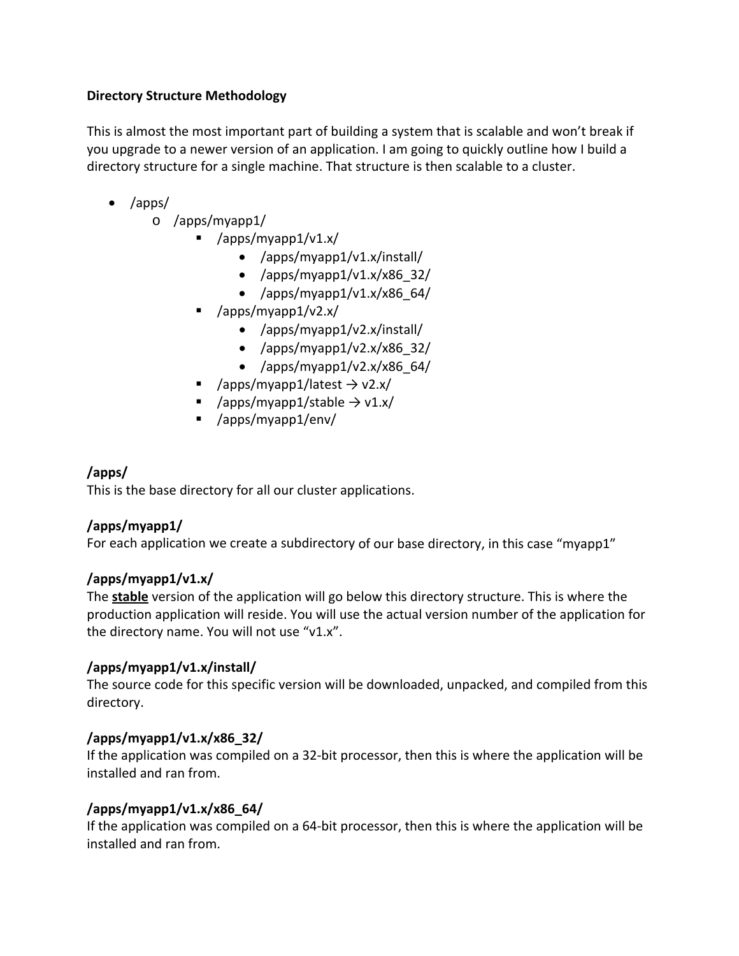### **Directory Structure Methodology**

This is almost the most important part of building a system that is scalable and won't break if you upgrade to a newer version of an application. I am going to quickly outline how I build a directory structure for a single machine. That structure is then scalable to a cluster.

- /apps/
	- o /apps/myapp1/
		- /apps/myapp1/v1.x/
			- /apps/myapp1/v1.x/install/
			- /apps/myapp1/v1.x/x86\_32/
			- /apps/myapp $1/\nu$ 1.x/x86 $64/$
		- /apps/myapp1/v2.x/
			- /apps/myapp1/v2.x/install/
			- /apps/myapp1/v2.x/x86 $32/$
			- /apps/myapp1/v2.x/x86 $64/$
		- /apps/myapp1/latest  $\rightarrow$  v2.x/
		- /apps/myapp1/stable  $\rightarrow$  v1.x/
		- /apps/myapp1/env/

# **/apps/**

This is the base directory for all our cluster applications.

### **/apps/myapp1/**

For each application we create a subdirectory of our base directory, in this case "myapp1"

### **/apps/myapp1/v1.x/**

The **stable** version of the application will go below this directory structure. This is where the production application will reside. You will use the actual version number of the application for the directory name. You will not use "v1.x".

### **/apps/myapp1/v1.x/install/**

The source code for this specific version will be downloaded, unpacked, and compiled from this directory.

### **/apps/myapp1/v1.x/x86\_32/**

If the application was compiled on a 32‐bit processor, then this is where the application will be installed and ran from.

### **/apps/myapp1/v1.x/x86\_64/**

If the application was compiled on a 64‐bit processor, then this is where the application will be installed and ran from.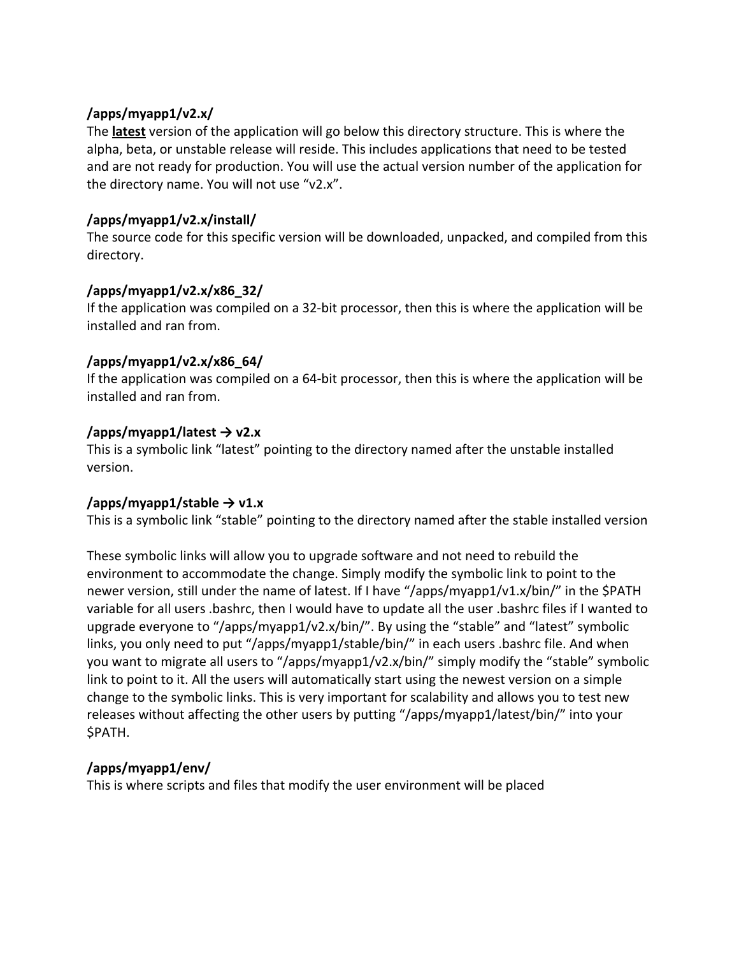### **/apps/myapp1/v2.x/**

The **latest** version of the application will go below this directory structure. This is where the alpha, beta, or unstable release will reside. This includes applications that need to be tested and are not ready for production. You will use the actual version number of the application for the directory name. You will not use "v2.x".

## **/apps/myapp1/v2.x/install/**

The source code for this specific version will be downloaded, unpacked, and compiled from this directory.

## **/apps/myapp1/v2.x/x86\_32/**

If the application was compiled on a 32‐bit processor, then this is where the application will be installed and ran from.

## **/apps/myapp1/v2.x/x86\_64/**

If the application was compiled on a 64‐bit processor, then this is where the application will be installed and ran from.

## **/apps/myapp1/latest → v2.x**

This is a symbolic link "latest" pointing to the directory named after the unstable installed version.

### **/apps/myapp1/stable → v1.x**

This is a symbolic link "stable" pointing to the directory named after the stable installed version

These symbolic links will allow you to upgrade software and not need to rebuild the environment to accommodate the change. Simply modify the symbolic link to point to the newer version, still under the name of latest. If I have "/apps/myapp1/v1.x/bin/" in the \$PATH variable for all users .bashrc, then I would have to update all the user .bashrc files if I wanted to upgrade everyone to "/apps/myapp1/v2.x/bin/". By using the "stable" and "latest" symbolic links, you only need to put "/apps/myapp1/stable/bin/" in each users .bashrc file. And when you want to migrate all users to "/apps/myapp1/v2.x/bin/" simply modify the "stable" symbolic link to point to it. All the users will automatically start using the newest version on a simple change to the symbolic links. This is very important for scalability and allows you to test new releases without affecting the other users by putting "/apps/myapp1/latest/bin/" into your \$PATH.

# **/apps/myapp1/env/**

This is where scripts and files that modify the user environment will be placed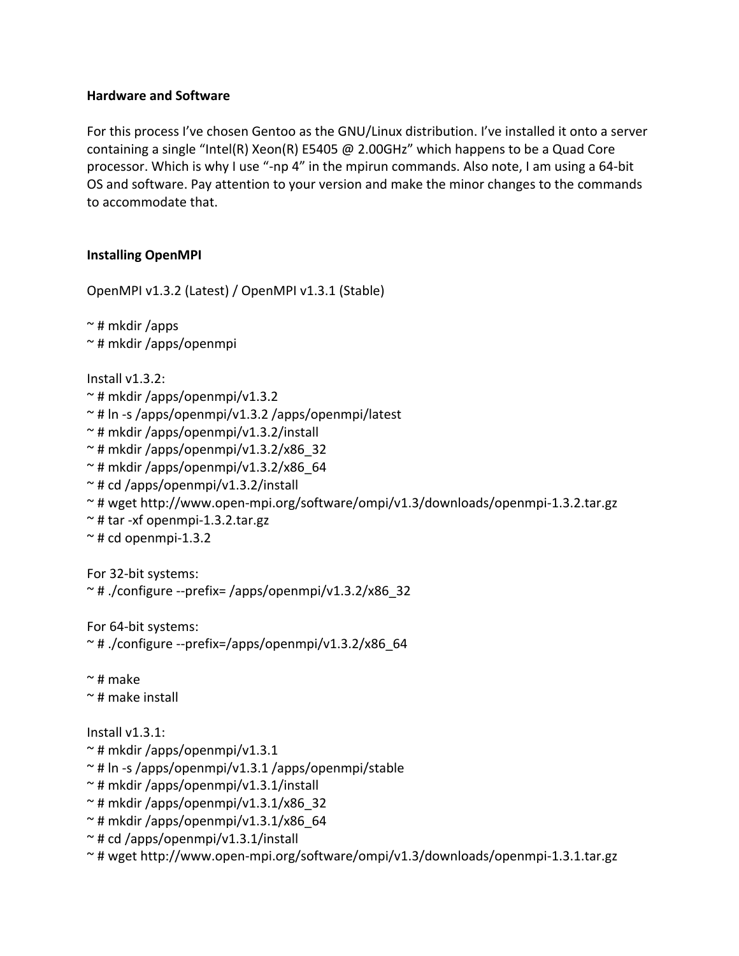#### **Hardware and Software**

For this process I've chosen Gentoo as the GNU/Linux distribution. I've installed it onto a server containing a single "Intel(R) Xeon(R) E5405 @ 2.00GHz" which happens to be a Quad Core processor. Which is why I use "‐np 4" in the mpirun commands. Also note, I am using a 64‐bit OS and software. Pay attention to your version and make the minor changes to the commands to accommodate that.

### **Installing OpenMPI**

OpenMPI v1.3.2 (Latest) / OpenMPI v1.3.1 (Stable)

 $\sim$  # mkdir /apps ~ # mkdir /apps/openmpi

Install v1.3.2:

- $\sim$  # mkdir /apps/openmpi/v1.3.2
- ~ # ln ‐s /apps/openmpi/v1.3.2 /apps/openmpi/latest
- ~ # mkdir /apps/openmpi/v1.3.2/install
- $\approx$  # mkdir /apps/openmpi/v1.3.2/x86 32
- $\sim$  # mkdir /apps/openmpi/v1.3.2/x86 64
- $\sim$  # cd /apps/openmpi/v1.3.2/install
- ~ # wget http://www.open‐mpi.org/software/ompi/v1.3/downloads/openmpi‐1.3.2.tar.gz
- ~ # tar ‐xf openmpi‐1.3.2.tar.gz
- $~\sim$  # cd openmpi-1.3.2

For 32‐bit systems: ~ # ./configure ‐‐prefix= /apps/openmpi/v1.3.2/x86\_32

For 64‐bit systems: ~ # ./configure ‐‐prefix=/apps/openmpi/v1.3.2/x86\_64

 $~\sim$  # make ~ # make install

Install v1.3.1:

```
\sim # mkdir /apps/openmpi/v1.3.1
```
- ~ # ln ‐s /apps/openmpi/v1.3.1 /apps/openmpi/stable
- $\sim$  # mkdir /apps/openmpi/v1.3.1/install
- $\sim$  # mkdir /apps/openmpi/v1.3.1/x86 32
- $\approx$  # mkdir /apps/openmpi/v1.3.1/x86 64

```
\sim # cd /apps/openmpi/v1.3.1/install
```
~ # wget http://www.open‐mpi.org/software/ompi/v1.3/downloads/openmpi‐1.3.1.tar.gz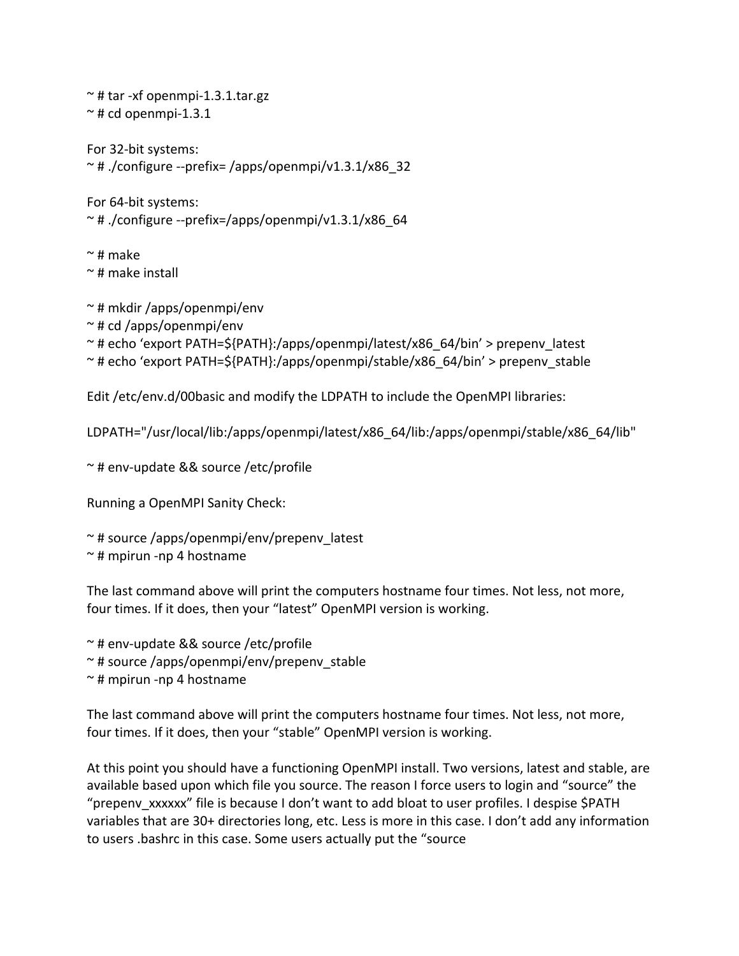$\sim$  # tar -xf openmpi-1.3.1.tar.gz  $~\sim$  # cd openmpi-1.3.1 For 32‐bit systems:  $~\sim$  # ./configure --prefix= /apps/openmpi/v1.3.1/x86 32 For 64‐bit systems:  $~\sim$  # ./configure --prefix=/apps/openmpi/v1.3.1/x86 64  $\sim$  # make

~ # make install

~ # mkdir /apps/openmpi/env

~ # cd /apps/openmpi/env

~ # echo 'export PATH=\${PATH}:/apps/openmpi/latest/x86\_64/bin' > prepenv\_latest

~ # echo 'export PATH=\${PATH}:/apps/openmpi/stable/x86\_64/bin' > prepenv\_stable

Edit /etc/env.d/00basic and modify the LDPATH to include the OpenMPI libraries:

LDPATH="/usr/local/lib:/apps/openmpi/latest/x86\_64/lib:/apps/openmpi/stable/x86\_64/lib"

~ # env‐update && source /etc/profile

Running a OpenMPI Sanity Check:

~ # source /apps/openmpi/env/prepenv\_latest

~ # mpirun ‐np 4 hostname

The last command above will print the computers hostname four times. Not less, not more, four times. If it does, then your "latest" OpenMPI version is working.

~ # env‐update && source /etc/profile

 $\sim$  # source /apps/openmpi/env/prepenv\_stable

~ # mpirun ‐np 4 hostname

The last command above will print the computers hostname four times. Not less, not more, four times. If it does, then your "stable" OpenMPI version is working.

At this point you should have a functioning OpenMPI install. Two versions, latest and stable, are available based upon which file you source. The reason I force users to login and "source" the "prepenv\_xxxxx" file is because I don't want to add bloat to user profiles. I despise \$PATH variables that are 30+ directories long, etc. Less is more in this case. I don't add any information to users .bashrc in this case. Some users actually put the "source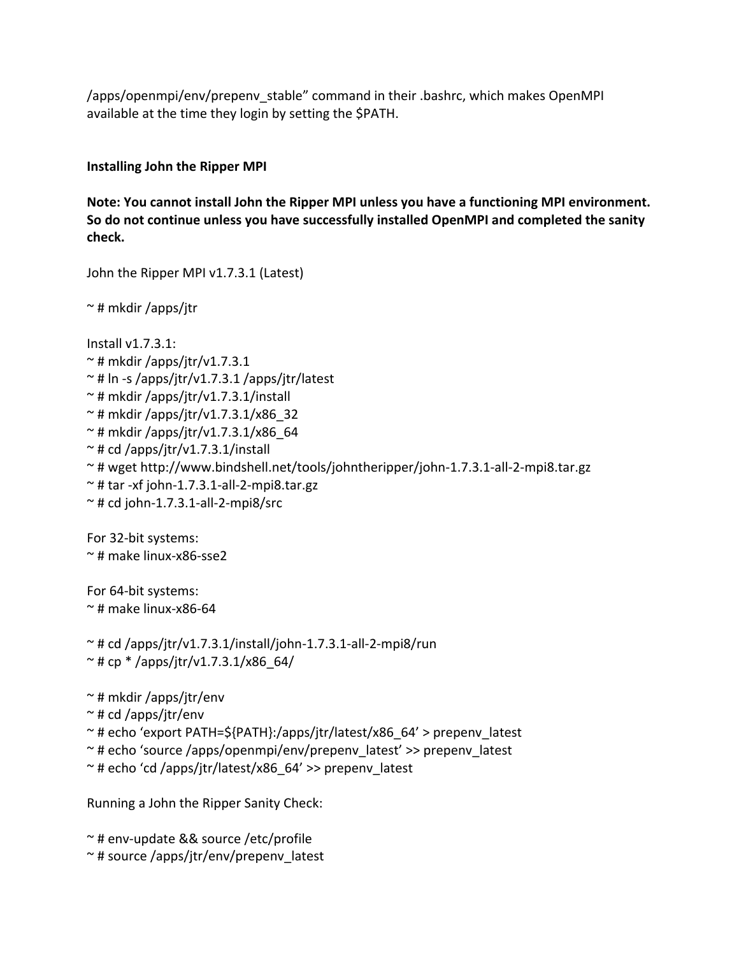/apps/openmpi/env/prepenv\_stable" command in their .bashrc, which makes OpenMPI available at the time they login by setting the \$PATH.

**Installing John the Ripper MPI**

**Note: You cannot install John the Ripper MPI unless you have a functioning MPI environment. So do not continue unless you have successfully installed OpenMPI and completed the sanity check.**

John the Ripper MPI v1.7.3.1 (Latest)

~ # mkdir /apps/jtr

Install v1.7.3.1:  $~\sim$  # mkdir /apps/jtr/v1.7.3.1  $\sim$  # ln -s /apps/jtr/v1.7.3.1 /apps/jtr/latest  $\sim$  # mkdir /apps/jtr/v1.7.3.1/install  $~\sim$  # mkdir /apps/jtr/v1.7.3.1/x86 32  $~\sim$  # mkdir /apps/jtr/v1.7.3.1/x86 64  $\sim$  # cd /apps/jtr/v1.7.3.1/install ~ # wget http://www.bindshell.net/tools/johntheripper/john‐1.7.3.1‐all‐2‐mpi8.tar.gz  $\sim$  # tar -xf john-1.7.3.1-all-2-mpi8.tar.gz  $~\sim$  # cd john-1.7.3.1-all-2-mpi8/src For 32‐bit systems: ~ # make linux‐x86‐sse2

For 64‐bit systems:  $\approx$  # make linux-x86-64

 $\sim$  # cd /apps/jtr/v1.7.3.1/install/john-1.7.3.1-all-2-mpi8/run  $\sim$  # cp \* /apps/jtr/v1.7.3.1/x86 64/

~ # mkdir /apps/jtr/env

 $\sim$  # cd /apps/jtr/env

~ # echo 'export PATH=\${PATH}:/apps/jtr/latest/x86\_64' > prepenv\_latest

~ # echo 'source /apps/openmpi/env/prepenv\_latest' >> prepenv\_latest

 $\approx$  # echo 'cd /apps/jtr/latest/x86\_64' >> prepenv\_latest

Running a John the Ripper Sanity Check:

~ # env‐update && source /etc/profile ~ # source /apps/jtr/env/prepenv\_latest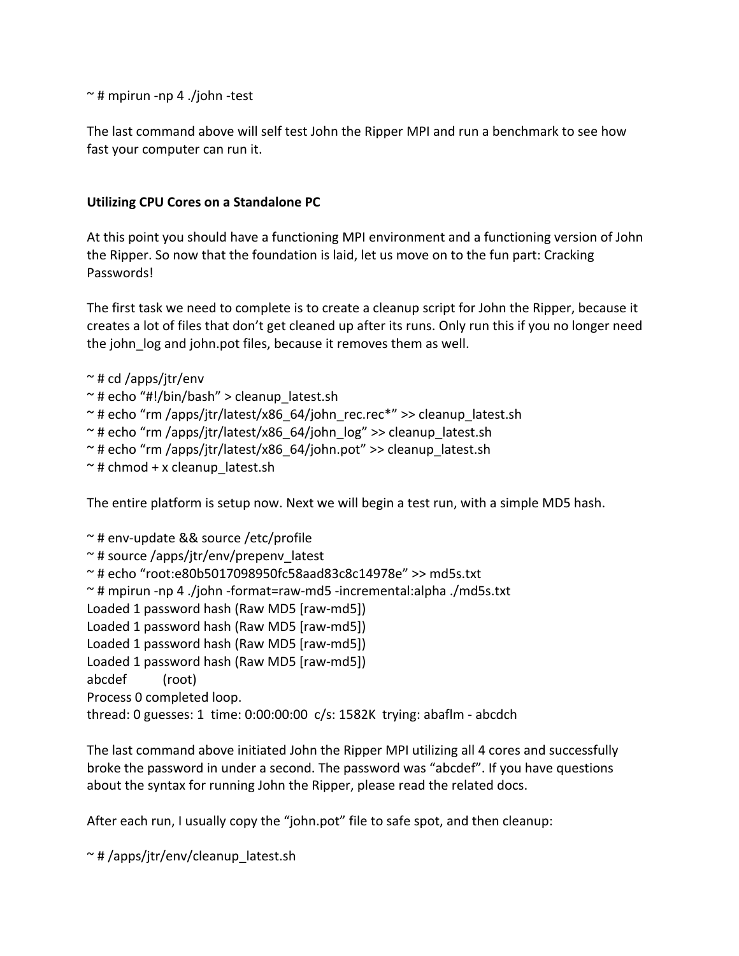$\sim$  # mpirun -np 4 ./john -test

The last command above will self test John the Ripper MPI and run a benchmark to see how fast your computer can run it.

### **Utilizing CPU Cores on a Standalone PC**

At this point you should have a functioning MPI environment and a functioning version of John the Ripper. So now that the foundation is laid, let us move on to the fun part: Cracking Passwords!

The first task we need to complete is to create a cleanup script for John the Ripper, because it creates a lot of files that don't get cleaned up after its runs. Only run this if you no longer need the john\_log and john.pot files, because it removes them as well.

- $\sim$  # cd /apps/jtr/env
- $\sim$  # echo "#!/bin/bash" > cleanup latest.sh
- ~ # echo "rm /apps/jtr/latest/x86\_64/john\_rec.rec\*" >> cleanup\_latest.sh
- $\sim$  # echo "rm /apps/jtr/latest/x86\_64/john\_log" >> cleanup\_latest.sh
- $\sim$  # echo "rm /apps/jtr/latest/x86\_64/john.pot" >> cleanup\_latest.sh
- $\sim$  # chmod + x cleanup latest.sh

The entire platform is setup now. Next we will begin a test run, with a simple MD5 hash.

~ # env‐update && source /etc/profile ~ # source /apps/jtr/env/prepenv\_latest ~ # echo "root:e80b5017098950fc58aad83c8c14978e" >> md5s.txt ~ # mpirun ‐np 4 ./john ‐format=raw‐md5 ‐incremental:alpha ./md5s.txt Loaded 1 password hash (Raw MD5 [raw‐md5]) Loaded 1 password hash (Raw MD5 [raw‐md5]) Loaded 1 password hash (Raw MD5 [raw‐md5]) Loaded 1 password hash (Raw MD5 [raw‐md5]) abcdef (root) Process 0 completed loop. thread: 0 guesses: 1 time: 0:00:00:00 c/s: 1582K trying: abaflm ‐ abcdch

The last command above initiated John the Ripper MPI utilizing all 4 cores and successfully broke the password in under a second. The password was "abcdef". If you have questions about the syntax for running John the Ripper, please read the related docs.

After each run, I usually copy the "john.pot" file to safe spot, and then cleanup:

 $~\sim$  #/apps/jtr/env/cleanup\_latest.sh